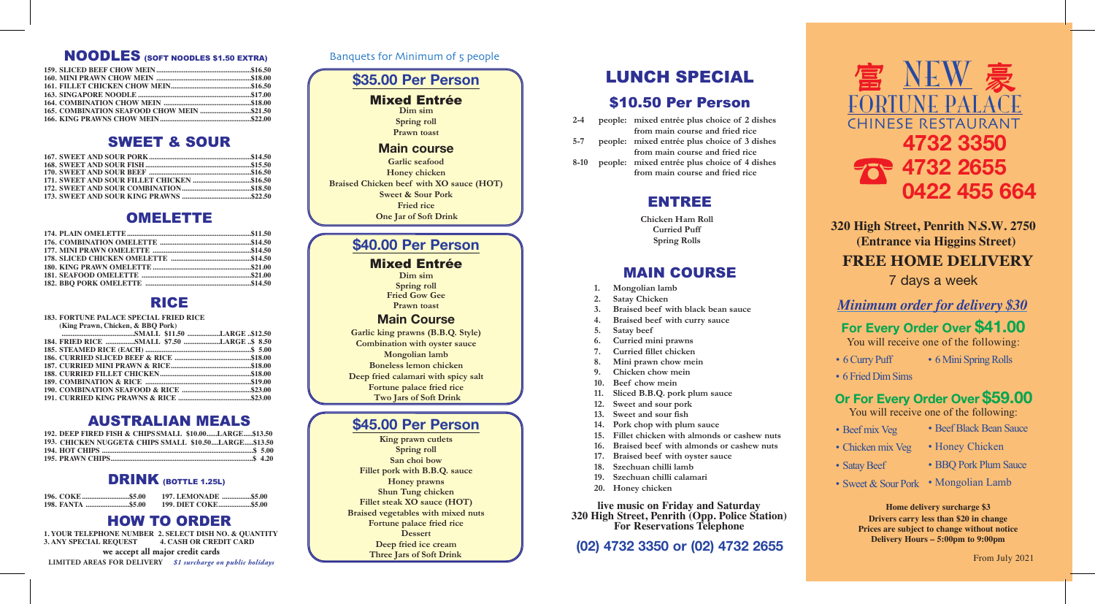**For Every Order Over \$41.00** You will receive one of the following:

## **Or For Every Order Over \$59.00**

You will receive one of the following:

- Beef mix Veg
- Chicken mix Veg
- Satay Beef
- 
- Beef Black Bean Sauce
- Honey Chicken
- BBQ Pork Plum Sauce
- Sweet & Sour Pork Mongolian Lamb

From July 2021

### **320 High Street, Penrith N.S.W. 2750 (Entrance via Higgins Street)**

### **FREE HOME DELIVERY**

7 days a week

#### Banquets for Minimum of 5 people

### **\$35.00 Per Person** Mixed Entrée **Dim sim Spring roll Prawn toast Main course Garlic seafood Honey chicken Braised Chicken beef with XO sauce (HOT) Sweet & Sour Pork Fried rice One Jar of Soft Drink \$40.00 Per Person**

#### Mixed Entrée **Dim sim**

**Spring roll Fried Gow Gee Prawn toast**

#### **Main Course**

**Garlic king prawns (B.B.Q. Style) Combination with oyster sauce Mongolian lamb Boneless lemon chicken Deep fried calamari with spicy salt Fortune palace fried rice Two Jars of Soft Drink**

#### **\$45.00 Per Person**

**King prawn cutlets Spring roll San choi bow Fillet pork with B.B.Q. sauce Honey prawns Shun Tung chicken Fillet steak XO sauce (HOT) Braised vegetables with mixed nuts Fortune palace fried rice Dessert Deep fried ice cream Three Jars of Soft Drink**

**live music on Friday and Saturday 320 High Street, Penrith (Opp. Police Station) For Reservations Telephone**

**(02) 4732 3350 or (02) 4732 2655**

- 6 Curry Puff • 6 Mini Spring Rolls
- 6 Fried Dim Sims

# NEW FORTUNE PALACE **CHINESE RESTAURANT 4732 3350 4732 2655 0422 455 664**

**Drivers carry less than \$20 in change Prices are subject to change without notice Delivery Hours – 5:00pm to 9:00pm Home delivery surcharge \$3**

#### **183. FORTUNE PALACE SPECIAL FRIED RICE**

| (King Prawn, Chicken, & BBO Pork)          |  |
|--------------------------------------------|--|
|                                            |  |
| 184. FRIED RICE SMALL \$7.50 LARGE  \$8.50 |  |
|                                            |  |
|                                            |  |
|                                            |  |
|                                            |  |
|                                            |  |
|                                            |  |
|                                            |  |

| 192. DEEP FIRED FISH & CHIPS SMALL \$10.00LARGE\$13.50 |  |
|--------------------------------------------------------|--|
| 193. CHICKEN NUGGET& CHIPS SMALL \$10.50LARGE\$13.50   |  |
|                                                        |  |
|                                                        |  |

#### DRINK (BOTTLE 1.25L)

|                   |  | 197. LEMONADE \$5.00 |
|-------------------|--|----------------------|
| 198. FANTA \$5.00 |  | 199. DIET COKE\$5.00 |

**1. YOUR TELEPHONE NUMBER 2. SELECT DISH NO. & QUANTITY 3. ANY SPECIAL REQUEST 4. CASH OR CREDIT CARD we accept all major credit cards LIMITED AREAS FOR DELIVERY** *\$1 surcharge on public holidays*

| $2 - 4$ | people: mixed entrée plus choice of 2 dishes |
|---------|----------------------------------------------|
|         | from main course and fried rice              |
| $5 - 7$ | people: mixed entrée plus choice of 3 dishes |
|         | from main course and fried rice              |
| 8-10    | people: mixed entrée plus choice of 4 dishes |
|         | from main course and fried rice              |

**Chicken Ham Roll Curried Puff Spring Rolls**

- **1. Mongolian lamb**
- **2. Satay Chicken**
- **3. Braised beef with black bean sauce**
- **4. Braised beef with curry sauce**
- **5. Satay beef**
- **6. Curried mini prawns**
- **7. Curried fillet chicken**
- **8. Mini prawn chow mein**
- **9. Chicken chow mein**
- **10. Beef chow mein**
- **11. Sliced B.B.Q. pork plum sauce**
- **12. Sweet and sour pork**
- **13. Sweet and sour fish**
- **14. Pork chop with plum sauce**
- **15. Fillet chicken with almonds or cashew nuts**
- **16. Braised beef with almonds or cashew nuts**
- **17. Braised beef with oyster sauce**
- **18. Szechuan chilli lamb**
- **19. Szechuan chilli calamari**
- **20. Honey chicken**

*Minimum order for delivery \$30*

## NOODLES (SOFT NOODLES \$1.50 EXTRA)

### SWEET & SOUR

#### OMELETTE

#### RICE

### AUSTRALIAN MEALS

### HOW TO ORDER

### ENTREE

### MAIN COURSE

# LUNCH SPECIAL

### \$10.50 Per Person